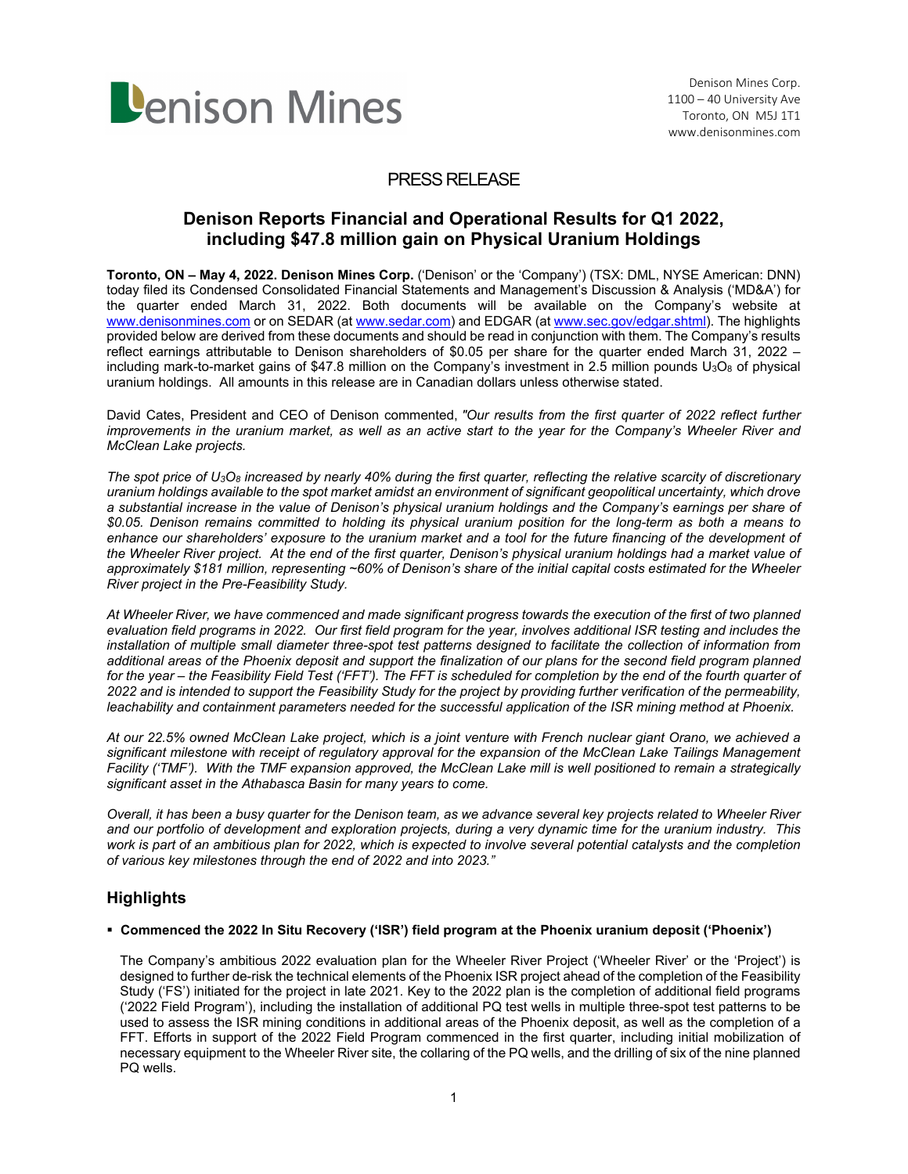

## PRESS RELEASE

# **Denison Reports Financial and Operational Results for Q1 2022, including \$47.8 million gain on Physical Uranium Holdings**

**Toronto, ON – May 4, 2022. Denison Mines Corp.** ('Denison' or the 'Company') (TSX: DML, NYSE American: DNN) today filed its Condensed Consolidated Financial Statements and Management's Discussion & Analysis ('MD&A') for the quarter ended March 31, 2022. Both documents will be available on the Company's website at www.denisonmines.com or on SEDAR (at www.sedar.com) and EDGAR (at www.sec.gov/edgar.shtml). The highlights provided below are derived from these documents and should be read in conjunction with them. The Company's results reflect earnings attributable to Denison shareholders of \$0.05 per share for the quarter ended March 31, 2022 – including mark-to-market gains of \$47.8 million on the Company's investment in 2.5 million pounds  $U_3O_8$  of physical uranium holdings. All amounts in this release are in Canadian dollars unless otherwise stated.

David Cates, President and CEO of Denison commented, *"Our results from the first quarter of 2022 reflect further*  improvements in the uranium market, as well as an active start to the year for the Company's Wheeler River and *McClean Lake projects.* 

*The spot price of U3O8 increased by nearly 40% during the first quarter, reflecting the relative scarcity of discretionary uranium holdings available to the spot market amidst an environment of significant geopolitical uncertainty, which drove a substantial increase in the value of Denison's physical uranium holdings and the Company's earnings per share of \$0.05. Denison remains committed to holding its physical uranium position for the long-term as both a means to*  enhance our shareholders' exposure to the uranium market and a tool for the future financing of the development of *the Wheeler River project. At the end of the first quarter, Denison's physical uranium holdings had a market value of approximately \$181 million, representing ~60% of Denison's share of the initial capital costs estimated for the Wheeler River project in the Pre-Feasibility Study.* 

*At Wheeler River, we have commenced and made significant progress towards the execution of the first of two planned evaluation field programs in 2022. Our first field program for the year, involves additional ISR testing and includes the installation of multiple small diameter three-spot test patterns designed to facilitate the collection of information from additional areas of the Phoenix deposit and support the finalization of our plans for the second field program planned*  for the year – the Feasibility Field Test ('FFT'). The FFT is scheduled for completion by the end of the fourth quarter of *2022 and is intended to support the Feasibility Study for the project by providing further verification of the permeability, leachability and containment parameters needed for the successful application of the ISR mining method at Phoenix.* 

*At our 22.5% owned McClean Lake project, which is a joint venture with French nuclear giant Orano, we achieved a significant milestone with receipt of regulatory approval for the expansion of the McClean Lake Tailings Management Facility ('TMF'). With the TMF expansion approved, the McClean Lake mill is well positioned to remain a strategically significant asset in the Athabasca Basin for many years to come.* 

*Overall, it has been a busy quarter for the Denison team, as we advance several key projects related to Wheeler River and our portfolio of development and exploration projects, during a very dynamic time for the uranium industry. This work is part of an ambitious plan for 2022, which is expected to involve several potential catalysts and the completion of various key milestones through the end of 2022 and into 2023."* 

## **Highlights**

### **Commenced the 2022 In Situ Recovery ('ISR') field program at the Phoenix uranium deposit ('Phoenix')**

The Company's ambitious 2022 evaluation plan for the Wheeler River Project ('Wheeler River' or the 'Project') is designed to further de-risk the technical elements of the Phoenix ISR project ahead of the completion of the Feasibility Study ('FS') initiated for the project in late 2021. Key to the 2022 plan is the completion of additional field programs ('2022 Field Program'), including the installation of additional PQ test wells in multiple three-spot test patterns to be used to assess the ISR mining conditions in additional areas of the Phoenix deposit, as well as the completion of a FFT. Efforts in support of the 2022 Field Program commenced in the first quarter, including initial mobilization of necessary equipment to the Wheeler River site, the collaring of the PQ wells, and the drilling of six of the nine planned PQ wells.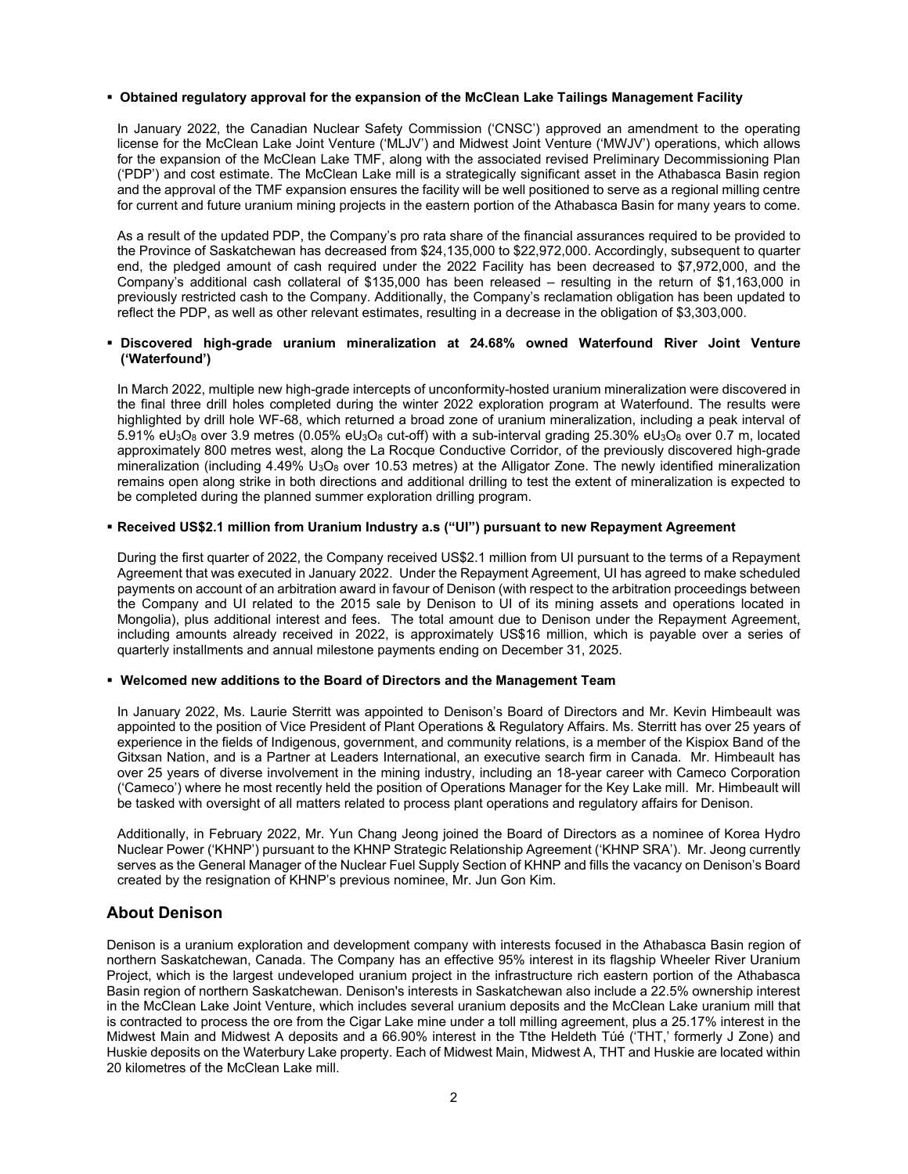#### **Obtained regulatory approval for the expansion of the McClean Lake Tailings Management Facility**

In January 2022, the Canadian Nuclear Safety Commission ('CNSC') approved an amendment to the operating license for the McClean Lake Joint Venture ('MLJV') and Midwest Joint Venture ('MWJV') operations, which allows for the expansion of the McClean Lake TMF, along with the associated revised Preliminary Decommissioning Plan ('PDP') and cost estimate. The McClean Lake mill is a strategically significant asset in the Athabasca Basin region and the approval of the TMF expansion ensures the facility will be well positioned to serve as a regional milling centre for current and future uranium mining projects in the eastern portion of the Athabasca Basin for many years to come.

As a result of the updated PDP, the Company's pro rata share of the financial assurances required to be provided to the Province of Saskatchewan has decreased from \$24,135,000 to \$22,972,000. Accordingly, subsequent to quarter end, the pledged amount of cash required under the 2022 Facility has been decreased to \$7,972,000, and the Company's additional cash collateral of \$135,000 has been released – resulting in the return of \$1,163,000 in previously restricted cash to the Company. Additionally, the Company's reclamation obligation has been updated to reflect the PDP, as well as other relevant estimates, resulting in a decrease in the obligation of \$3,303,000.

#### **Discovered high-grade uranium mineralization at 24.68% owned Waterfound River Joint Venture ('Waterfound')**

In March 2022, multiple new high-grade intercepts of unconformity-hosted uranium mineralization were discovered in the final three drill holes completed during the winter 2022 exploration program at Waterfound. The results were highlighted by drill hole WF-68, which returned a broad zone of uranium mineralization, including a peak interval of 5.91% eU3O8 over 3.9 metres (0.05% eU3O8 cut-off) with a sub-interval grading 25.30% eU3O8 over 0.7 m, located approximately 800 metres west, along the La Rocque Conductive Corridor, of the previously discovered high-grade mineralization (including  $4.49\%$  U<sub>3</sub>O<sub>8</sub> over 10.53 metres) at the Alligator Zone. The newly identified mineralization remains open along strike in both directions and additional drilling to test the extent of mineralization is expected to be completed during the planned summer exploration drilling program.

#### **Received US\$2.1 million from Uranium Industry a.s ("UI") pursuant to new Repayment Agreement**

During the first quarter of 2022, the Company received US\$2.1 million from UI pursuant to the terms of a Repayment Agreement that was executed in January 2022. Under the Repayment Agreement, UI has agreed to make scheduled payments on account of an arbitration award in favour of Denison (with respect to the arbitration proceedings between the Company and UI related to the 2015 sale by Denison to UI of its mining assets and operations located in Mongolia), plus additional interest and fees. The total amount due to Denison under the Repayment Agreement, including amounts already received in 2022, is approximately US\$16 million, which is payable over a series of quarterly installments and annual milestone payments ending on December 31, 2025.

#### **Welcomed new additions to the Board of Directors and the Management Team**

In January 2022, Ms. Laurie Sterritt was appointed to Denison's Board of Directors and Mr. Kevin Himbeault was appointed to the position of Vice President of Plant Operations & Regulatory Affairs. Ms. Sterritt has over 25 years of experience in the fields of Indigenous, government, and community relations, is a member of the Kispiox Band of the Gitxsan Nation, and is a Partner at Leaders International, an executive search firm in Canada. Mr. Himbeault has over 25 years of diverse involvement in the mining industry, including an 18-year career with Cameco Corporation ('Cameco') where he most recently held the position of Operations Manager for the Key Lake mill. Mr. Himbeault will be tasked with oversight of all matters related to process plant operations and regulatory affairs for Denison.

Additionally, in February 2022, Mr. Yun Chang Jeong joined the Board of Directors as a nominee of Korea Hydro Nuclear Power ('KHNP') pursuant to the KHNP Strategic Relationship Agreement ('KHNP SRA'). Mr. Jeong currently serves as the General Manager of the Nuclear Fuel Supply Section of KHNP and fills the vacancy on Denison's Board created by the resignation of KHNP's previous nominee, Mr. Jun Gon Kim.

### **About Denison**

Denison is a uranium exploration and development company with interests focused in the Athabasca Basin region of northern Saskatchewan, Canada. The Company has an effective 95% interest in its flagship Wheeler River Uranium Project, which is the largest undeveloped uranium project in the infrastructure rich eastern portion of the Athabasca Basin region of northern Saskatchewan. Denison's interests in Saskatchewan also include a 22.5% ownership interest in the McClean Lake Joint Venture, which includes several uranium deposits and the McClean Lake uranium mill that is contracted to process the ore from the Cigar Lake mine under a toll milling agreement, plus a 25.17% interest in the Midwest Main and Midwest A deposits and a 66.90% interest in the Tthe Heldeth Túé ('THT,' formerly J Zone) and Huskie deposits on the Waterbury Lake property. Each of Midwest Main, Midwest A, THT and Huskie are located within 20 kilometres of the McClean Lake mill.